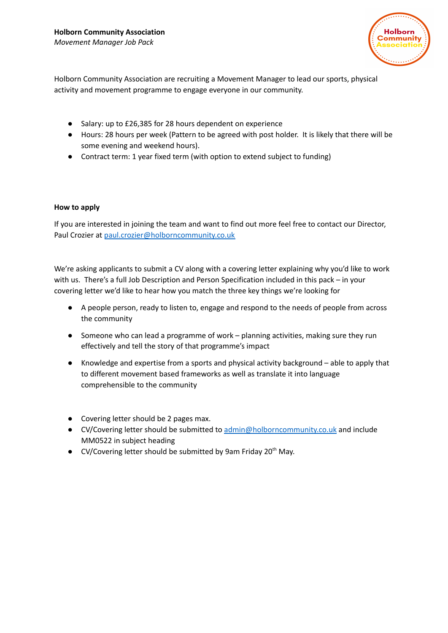

Holborn Community Association are recruiting a Movement Manager to lead our sports, physical activity and movement programme to engage everyone in our community.

- Salary: up to £26,385 for 28 hours dependent on experience
- Hours: 28 hours per week (Pattern to be agreed with post holder. It is likely that there will be some evening and weekend hours).
- Contract term: 1 year fixed term (with option to extend subject to funding)

## **How to apply**

If you are interested in joining the team and want to find out more feel free to contact our Director, Paul Crozier at [paul.crozier@holborncommunity.co.uk](mailto:paul.crozier@holborncommunity.co.uk)

We're asking applicants to submit a CV along with a covering letter explaining why you'd like to work with us. There's a full Job Description and Person Specification included in this pack – in your covering letter we'd like to hear how you match the three key things we're looking for

- A people person, ready to listen to, engage and respond to the needs of people from across the community
- Someone who can lead a programme of work planning activities, making sure they run effectively and tell the story of that programme's impact
- Knowledge and expertise from a sports and physical activity background able to apply that to different movement based frameworks as well as translate it into language comprehensible to the community
- Covering letter should be 2 pages max.
- CV/Covering letter should be submitted to [admin@holborncommunity.co.uk](mailto:admin@holborncommunity.co.uk) and include MM0522 in subject heading
- CV/Covering letter should be submitted by 9am Friday 20<sup>th</sup> May.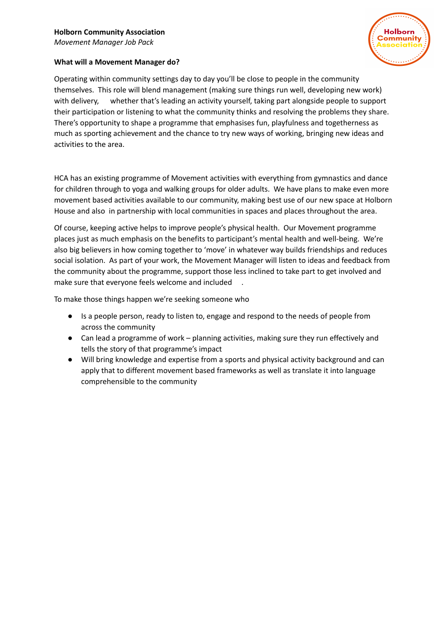# **Holborn Community Association**

*Movement Manager Job Pack*



## **What will a Movement Manager do?**

Operating within community settings day to day you'll be close to people in the community themselves. This role will blend management (making sure things run well, developing new work) with delivery, whether that's leading an activity yourself, taking part alongside people to support their participation or listening to what the community thinks and resolving the problems they share. There's opportunity to shape a programme that emphasises fun, playfulness and togetherness as much as sporting achievement and the chance to try new ways of working, bringing new ideas and activities to the area.

HCA has an existing programme of Movement activities with everything from gymnastics and dance for children through to yoga and walking groups for older adults. We have plans to make even more movement based activities available to our community, making best use of our new space at Holborn House and also in partnership with local communities in spaces and places throughout the area.

Of course, keeping active helps to improve people's physical health. Our Movement programme places just as much emphasis on the benefits to participant's mental health and well-being. We're also big believers in how coming together to 'move' in whatever way builds friendships and reduces social isolation. As part of your work, the Movement Manager will listen to ideas and feedback from the community about the programme, support those less inclined to take part to get involved and make sure that everyone feels welcome and included .

To make those things happen we're seeking someone who

- Is a people person, ready to listen to, engage and respond to the needs of people from across the community
- Can lead a programme of work planning activities, making sure they run effectively and tells the story of that programme's impact
- Will bring knowledge and expertise from a sports and physical activity background and can apply that to different movement based frameworks as well as translate it into language comprehensible to the community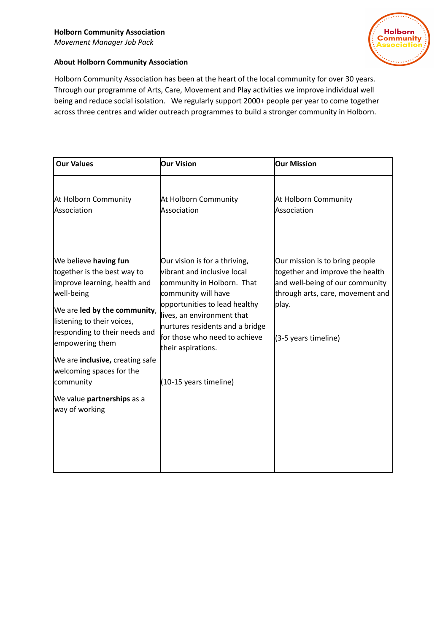

## **About Holborn Community Association**

Holborn Community Association has been at the heart of the local community for over 30 years. Through our programme of Arts, Care, Movement and Play activities we improve individual well being and reduce social isolation. We regularly support 2000+ people per year to come together across three centres and wider outreach programmes to build a stronger community in Holborn.

| <b>Our Values</b>                                                                                                                                                                                                                                                                                                                                        | <b>Our Vision</b>                                                                                                                                                                                                                                                                                    | <b>Our Mission</b>                                                                                                                                                        |
|----------------------------------------------------------------------------------------------------------------------------------------------------------------------------------------------------------------------------------------------------------------------------------------------------------------------------------------------------------|------------------------------------------------------------------------------------------------------------------------------------------------------------------------------------------------------------------------------------------------------------------------------------------------------|---------------------------------------------------------------------------------------------------------------------------------------------------------------------------|
| At Holborn Community<br>Association                                                                                                                                                                                                                                                                                                                      | At Holborn Community<br>Association                                                                                                                                                                                                                                                                  | At Holborn Community<br>Association                                                                                                                                       |
| We believe having fun<br>together is the best way to<br>improve learning, health and<br>well-being<br>We are led by the community,<br>listening to their voices,<br>responding to their needs and<br>empowering them<br>We are <b>inclusive</b> , creating safe<br>welcoming spaces for the<br>community<br>We value partnerships as a<br>way of working | Our vision is for a thriving,<br>wibrant and inclusive local<br>community in Holborn. That<br>community will have<br>opportunities to lead healthy<br>lives, an environment that<br>nurtures residents and a bridge<br>for those who need to achieve<br>their aspirations.<br>(10-15 years timeline) | Our mission is to bring people<br>together and improve the health<br>and well-being of our community<br>through arts, care, movement and<br>play.<br>(3-5 years timeline) |
|                                                                                                                                                                                                                                                                                                                                                          |                                                                                                                                                                                                                                                                                                      |                                                                                                                                                                           |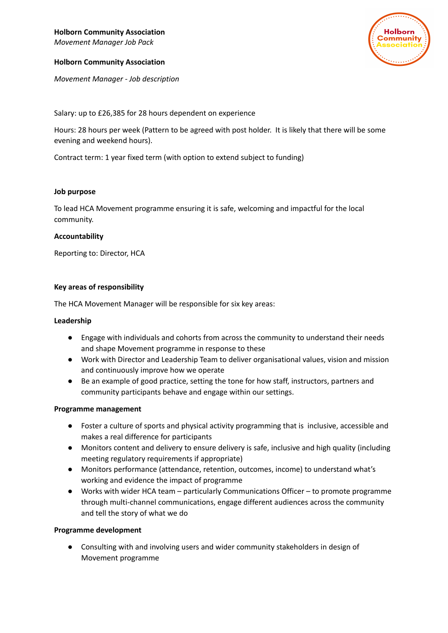## **Holborn Community Association**

*Movement Manager - Job description*

**Holborn** ommunity

Salary: up to £26,385 for 28 hours dependent on experience

Hours: 28 hours per week (Pattern to be agreed with post holder. It is likely that there will be some evening and weekend hours).

Contract term: 1 year fixed term (with option to extend subject to funding)

#### **Job purpose**

To lead HCA Movement programme ensuring it is safe, welcoming and impactful for the local community.

#### **Accountability**

Reporting to: Director, HCA

## **Key areas of responsibility**

The HCA Movement Manager will be responsible for six key areas:

#### **Leadership**

- Engage with individuals and cohorts from across the community to understand their needs and shape Movement programme in response to these
- Work with Director and Leadership Team to deliver organisational values, vision and mission and continuously improve how we operate
- Be an example of good practice, setting the tone for how staff, instructors, partners and community participants behave and engage within our settings.

#### **Programme management**

- Foster a culture of sports and physical activity programming that is inclusive, accessible and makes a real difference for participants
- Monitors content and delivery to ensure delivery is safe, inclusive and high quality (including meeting regulatory requirements if appropriate)
- Monitors performance (attendance, retention, outcomes, income) to understand what's working and evidence the impact of programme
- Works with wider HCA team particularly Communications Officer to promote programme through multi-channel communications, engage different audiences across the community and tell the story of what we do

#### **Programme development**

Consulting with and involving users and wider community stakeholders in design of Movement programme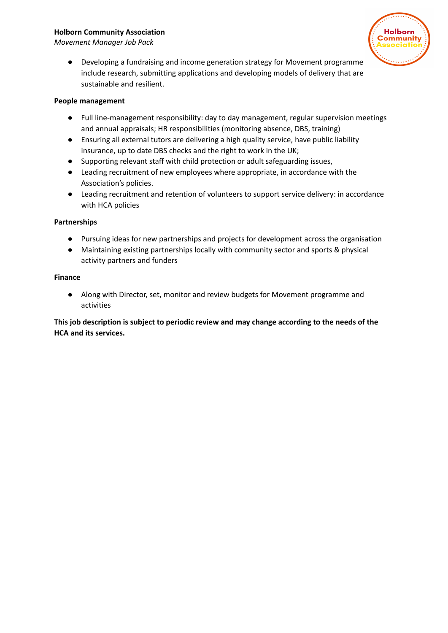## **Holborn Community Association**

*Movement Manager Job Pack*



● Developing a fundraising and income generation strategy for Movement programme include research, submitting applications and developing models of delivery that are sustainable and resilient.

## **People management**

- Full line-management responsibility: day to day management, regular supervision meetings and annual appraisals; HR responsibilities (monitoring absence, DBS, training)
- Ensuring all external tutors are delivering a high quality service, have public liability insurance, up to date DBS checks and the right to work in the UK;
- Supporting relevant staff with child protection or adult safeguarding issues,
- Leading recruitment of new employees where appropriate, in accordance with the Association's policies.
- Leading recruitment and retention of volunteers to support service delivery: in accordance with HCA policies

## **Partnerships**

- Pursuing ideas for new partnerships and projects for development across the organisation
- Maintaining existing partnerships locally with community sector and sports & physical activity partners and funders

#### **Finance**

● Along with Director, set, monitor and review budgets for Movement programme and activities

# **This job description is subject to periodic review and may change according to the needs of the HCA and its services.**